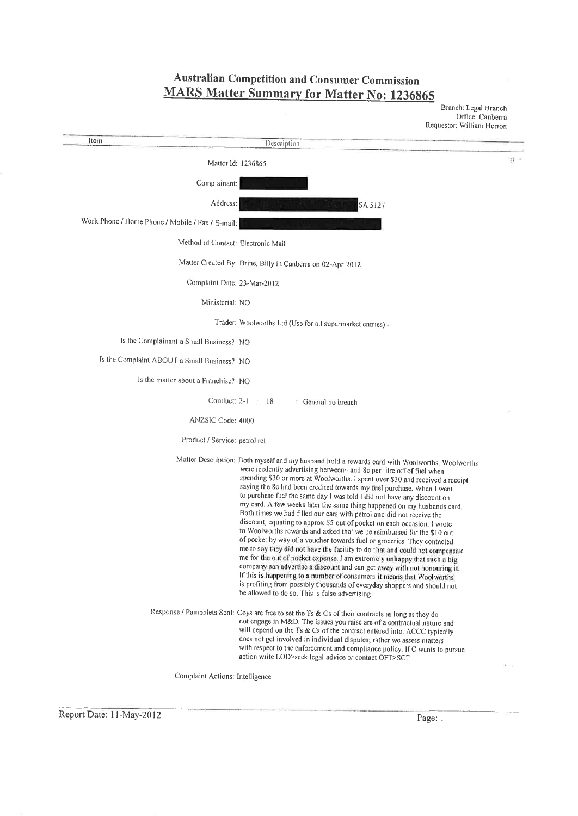**Australian Competition and Consumer Commission MARS Matter Summary for Matter No: 1236865** 

|                                                  |                                                                                                                                                                                                                                                                                                                                                                                                                                                                                                                                                                                                                                                                                                                                                                                                                                                                                                                                                                                                                                                                                                                                                                                                                                                    | Branch: Legal Branch<br>Office: Canberra<br>Requestor: William Herron |
|--------------------------------------------------|----------------------------------------------------------------------------------------------------------------------------------------------------------------------------------------------------------------------------------------------------------------------------------------------------------------------------------------------------------------------------------------------------------------------------------------------------------------------------------------------------------------------------------------------------------------------------------------------------------------------------------------------------------------------------------------------------------------------------------------------------------------------------------------------------------------------------------------------------------------------------------------------------------------------------------------------------------------------------------------------------------------------------------------------------------------------------------------------------------------------------------------------------------------------------------------------------------------------------------------------------|-----------------------------------------------------------------------|
| Item                                             | Description                                                                                                                                                                                                                                                                                                                                                                                                                                                                                                                                                                                                                                                                                                                                                                                                                                                                                                                                                                                                                                                                                                                                                                                                                                        |                                                                       |
| Matter Id: 1236865                               |                                                                                                                                                                                                                                                                                                                                                                                                                                                                                                                                                                                                                                                                                                                                                                                                                                                                                                                                                                                                                                                                                                                                                                                                                                                    | 徽 1                                                                   |
| Complainant:                                     |                                                                                                                                                                                                                                                                                                                                                                                                                                                                                                                                                                                                                                                                                                                                                                                                                                                                                                                                                                                                                                                                                                                                                                                                                                                    |                                                                       |
| Address:                                         | SA 5127                                                                                                                                                                                                                                                                                                                                                                                                                                                                                                                                                                                                                                                                                                                                                                                                                                                                                                                                                                                                                                                                                                                                                                                                                                            |                                                                       |
| Work Phone / Home Phone / Mobile / Fax / E-mail: |                                                                                                                                                                                                                                                                                                                                                                                                                                                                                                                                                                                                                                                                                                                                                                                                                                                                                                                                                                                                                                                                                                                                                                                                                                                    |                                                                       |
| Method of Contact: Electronic Mail               |                                                                                                                                                                                                                                                                                                                                                                                                                                                                                                                                                                                                                                                                                                                                                                                                                                                                                                                                                                                                                                                                                                                                                                                                                                                    |                                                                       |
|                                                  | Matter Created By: Brine, Billy in Canberra on 02-Apr-2012                                                                                                                                                                                                                                                                                                                                                                                                                                                                                                                                                                                                                                                                                                                                                                                                                                                                                                                                                                                                                                                                                                                                                                                         |                                                                       |
| Complaint Date: 23-Mar-2012                      |                                                                                                                                                                                                                                                                                                                                                                                                                                                                                                                                                                                                                                                                                                                                                                                                                                                                                                                                                                                                                                                                                                                                                                                                                                                    |                                                                       |
| Ministerial: NO                                  |                                                                                                                                                                                                                                                                                                                                                                                                                                                                                                                                                                                                                                                                                                                                                                                                                                                                                                                                                                                                                                                                                                                                                                                                                                                    |                                                                       |
|                                                  | Trader: Woolworths Ltd (Use for all supermarket entries) -                                                                                                                                                                                                                                                                                                                                                                                                                                                                                                                                                                                                                                                                                                                                                                                                                                                                                                                                                                                                                                                                                                                                                                                         |                                                                       |
| Is the Complainant a Small Business? NO          |                                                                                                                                                                                                                                                                                                                                                                                                                                                                                                                                                                                                                                                                                                                                                                                                                                                                                                                                                                                                                                                                                                                                                                                                                                                    |                                                                       |
| Is the Complaint ABOUT a Small Business? NO      |                                                                                                                                                                                                                                                                                                                                                                                                                                                                                                                                                                                                                                                                                                                                                                                                                                                                                                                                                                                                                                                                                                                                                                                                                                                    |                                                                       |
| Is the matter about a Franchise? NO              |                                                                                                                                                                                                                                                                                                                                                                                                                                                                                                                                                                                                                                                                                                                                                                                                                                                                                                                                                                                                                                                                                                                                                                                                                                                    |                                                                       |
| Conduct: $2-1$                                   | 18<br>General no breach                                                                                                                                                                                                                                                                                                                                                                                                                                                                                                                                                                                                                                                                                                                                                                                                                                                                                                                                                                                                                                                                                                                                                                                                                            |                                                                       |
| ANZSIC Code: 4000                                |                                                                                                                                                                                                                                                                                                                                                                                                                                                                                                                                                                                                                                                                                                                                                                                                                                                                                                                                                                                                                                                                                                                                                                                                                                                    |                                                                       |
| Product / Service: petrol ret                    |                                                                                                                                                                                                                                                                                                                                                                                                                                                                                                                                                                                                                                                                                                                                                                                                                                                                                                                                                                                                                                                                                                                                                                                                                                                    |                                                                       |
|                                                  | Matter Description: Both myself and my husband hold a rewards card with Woolworths. Woolworths<br>were recdently advertising between4 and 8c per litre off of fuel when<br>spending \$30 or more at Woolworths. I spent over \$30 and received a receipt<br>saying the 8c had been credited towards my fuel purchase. When I went<br>to purchase fuel the same day I was told I did not have any discount on<br>my card. A few weeks later the same thing happened on my husbands card.<br>Both times we had filled our cars with petrol and did not receive the<br>discount, equating to approx \$5 out of pocket on each occasion. I wrote<br>to Woolworths rewards and asked that we be reimbursed for the \$10 out<br>of pocket by way of a voucher towards fuel or groceries. They contacted<br>me to say they did not have the facility to do that and could not compensate<br>me for the out of pocket expense. I am extremely unhappy that such a big<br>company can advertise a discount and can get away with not honouring it.<br>If this is happening to a number of consumers it means that Woolworths<br>is profiting from possibly thousands of everyday shoppers and should not<br>be allowed to do so. This is false advertising. |                                                                       |
|                                                  | Response / Pamphlets Sent: Coys are free to set the Ts & Cs of their contracts as long as they do<br>not engage in M&D. The issues you raise are of a contractual nature and<br>will depend on the Ts & Cs of the contract entered into. ACCC typically<br>does not get involved in individual disputes; rather we assess matters<br>with respect to the enforcement and compliance policy. If C wants to pursue<br>action write LOD>seek legal advice or contact OFT>SCT.                                                                                                                                                                                                                                                                                                                                                                                                                                                                                                                                                                                                                                                                                                                                                                         | $\bullet$                                                             |

Complaint Actions: Intelligence

Report Date: 11-May-2012